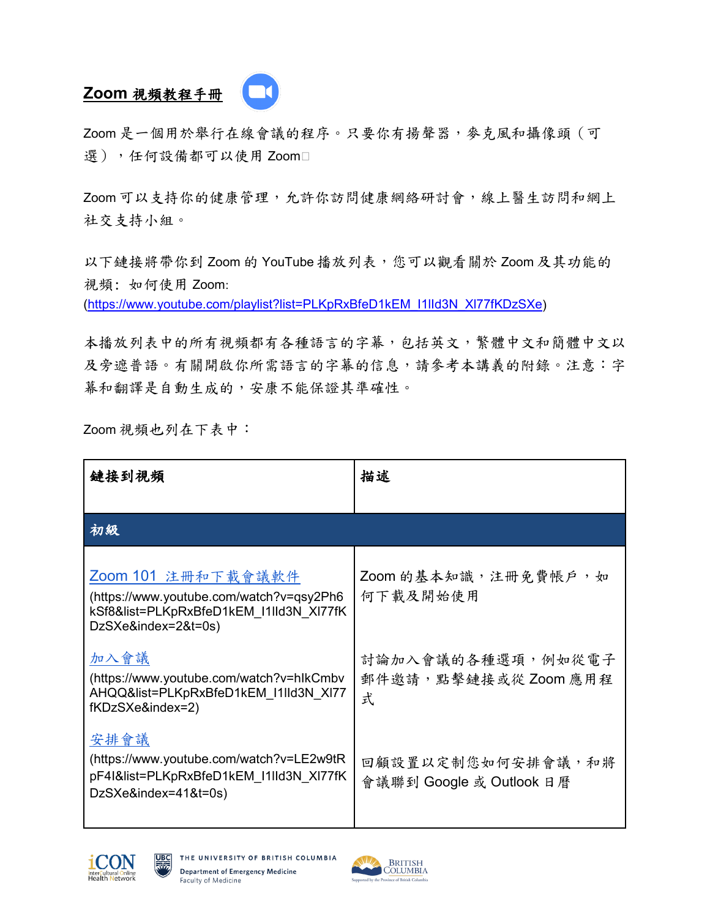## **Zoom** 視頻教程手冊

Zoom 是一個用於舉行在線會議的程序。只要你有揚聲器,麥克風和攝像頭(可 選),任何設備都可以使用 Zoom

Zoom 可以支持你的健康管理,允許你訪問健康網絡研討會,線上醫生訪問和網上 社交支持小組。

以下鏈接將帶你到 Zoom 的 YouTube 播放列表,您可以觀看關於 Zoom 及其功能的 視頻: 如何使用 Zoom:

[\(https://www.youtube.com/playlist?list=PLKpRxBfeD1kEM\\_I1lId3N\\_Xl77fKDzSXe\)](https://www.youtube.com/playlist?list=PLKpRxBfeD1kEM_I1lId3N_Xl77fKDzSXe)

本播放列表中的所有視頻都有各種語言的字幕,包括英文,繁體中文和簡體中文以 及旁遮普語。有關開啟你所需語言的字幕的信息,請參考本講義的附錄。注意:字 幕和翻譯是自動生成的,安康不能保證其準確性。

Zoom 視頻也列在下表中:

| 鏈接到視頻                                                                                                                            | 描述                                            |
|----------------------------------------------------------------------------------------------------------------------------------|-----------------------------------------------|
| 初級                                                                                                                               |                                               |
|                                                                                                                                  |                                               |
| Zoom 101 注册和下載會議軟件<br>(https://www.youtube.com/watch?v=qsy2Ph6<br>kSf8&list=PLKpRxBfeD1kEM I1IId3N XI77fK<br>DzSXe&index=2&t=0s) | Zoom 的基本知識,注冊免費帳戶,如<br>何下載及開始使用               |
| 加入會議<br>(https://www.youtube.com/watch?v=hlkCmbv<br>AHQQ&list=PLKpRxBfeD1kEM I1IId3N XI77<br>fKDzSXe&index=2)                    | 討論加入會議的各種選項,例如從電子<br>郵件邀請,點擊鏈接或從Zoom應用程<br>式  |
| 安排會議<br>(https://www.youtube.com/watch?v=LE2w9tR<br>pF4I&list=PLKpRxBfeD1kEM I1IId3N XI77fK<br>DzSXe&index=41&t=0s)              | 回顧設置以定制您如何安排會議,和將<br>會議聯到 Google 或 Outlook 日曆 |



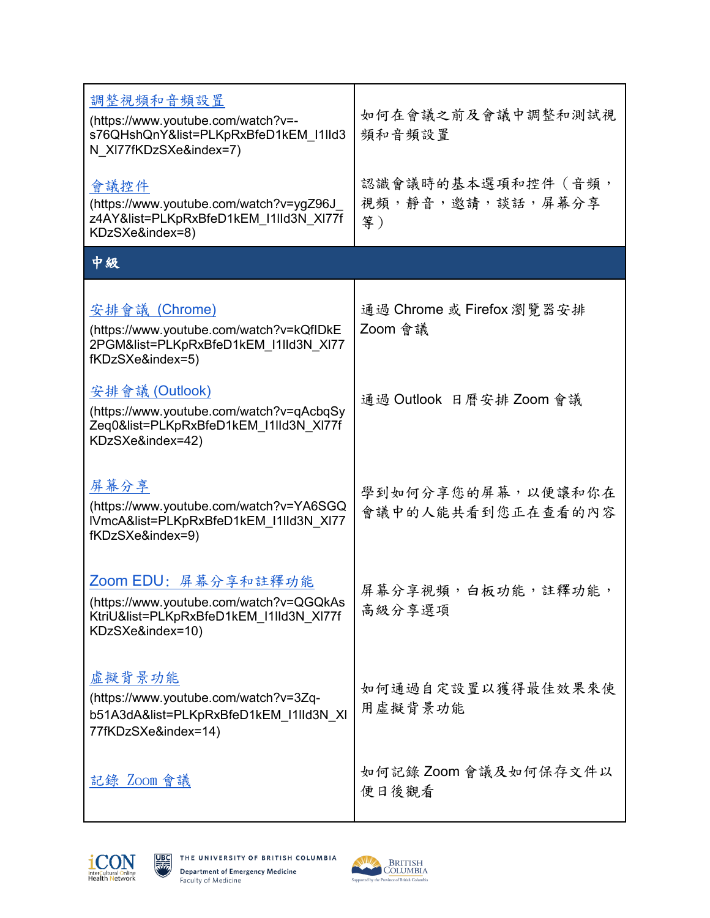| 調整視頻和音頻設置<br>(https://www.youtube.com/watch?v=-<br>s76QHshQnY&list=PLKpRxBfeD1kEM I1IId3<br>N XI77fKDzSXe&index=7)            | 如何在會議之前及會議中調整和測試視<br>頻和音頻設置                  |
|-------------------------------------------------------------------------------------------------------------------------------|----------------------------------------------|
| 會議控件<br>(https://www.youtube.com/watch?v=ygZ96J<br>z4AY&list=PLKpRxBfeD1kEM I1IId3N XI77f<br>KDzSXe&index=8)                  | 認識會議時的基本選項和控件 (音頻,<br>視頻,靜音,邀請,談話,屏幕分享<br>等) |
| 中級                                                                                                                            |                                              |
| 安排會議 (Chrome)<br>(https://www.youtube.com/watch?v=kQfIDkE<br>2PGM&list=PLKpRxBfeD1kEM_I1IId3N XI77<br>fKDzSXe&index=5)        | 通過 Chrome 或 Firefox 瀏覽器安排<br>Zoom 會議         |
| 安排會議 (Outlook)<br>(https://www.youtube.com/watch?v=qAcbqSy<br>Zeq0&list=PLKpRxBfeD1kEM I1IId3N XI77f<br>KDzSXe&index=42)      | 通過 Outlook 日曆安排 Zoom 會議                      |
| 屏幕分享<br>(https://www.youtube.com/watch?v=YA6SGQ<br>IVmcA&list=PLKpRxBfeD1kEM I1IId3N XI77<br>fKDzSXe&index=9)                 | 學到如何分享您的屏幕,以便讓和你在<br>會議中的人能共看到您正在查看的內容       |
| Zoom EDU: 屏幕分享和註釋功能<br>(https://www.youtube.com/watch?v=QGQkAs<br>KtriU&list=PLKpRxBfeD1kEM I1IId3N XI77f<br>KDzSXe&index=10) | 屏幕分享視頻,白板功能,註釋功能,<br>高級分享選項                  |
| 虚擬背景功能<br>(https://www.youtube.com/watch?v=3Zq-<br>b51A3dA&list=PLKpRxBfeD1kEM I1IId3N XI<br>77fKDzSXe&index=14)              | 如何通過自定設置以獲得最佳效果來使<br>用虛擬背景功能                 |
| 記錄 Zoom 會議                                                                                                                    | 如何記錄 Zoom 會議及如何保存文件以<br>便日後觀看                |



驛

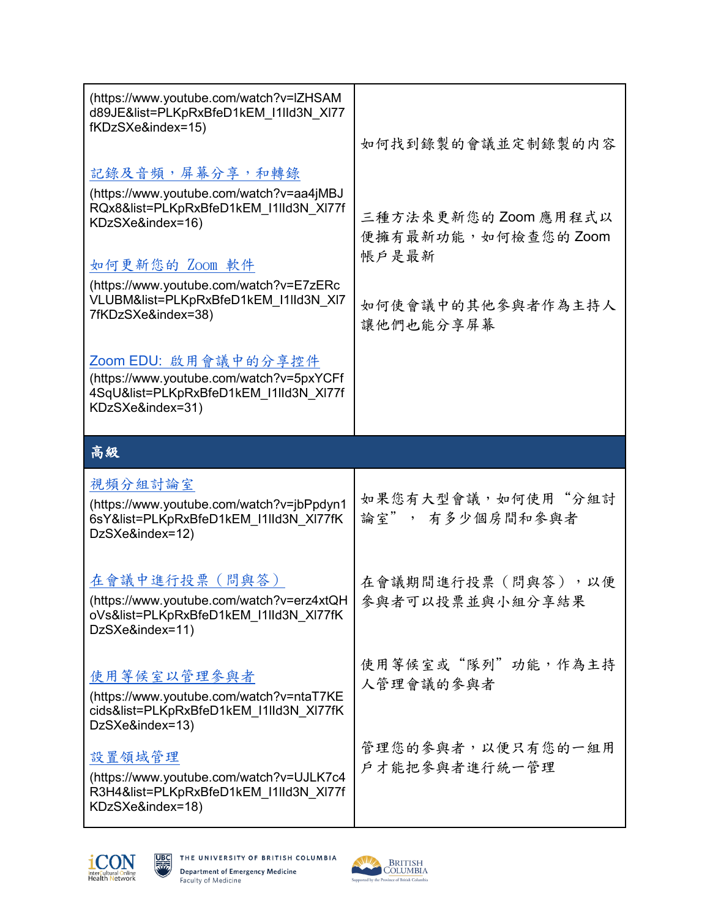| (https://www.youtube.com/watch?v=IZHSAM<br>d89JE&list=PLKpRxBfeD1kEM I1IId3N XI77<br>fKDzSXe&index=15)                                                                                                                                               | 如何找到錄製的會議並定制錄製的内容                                                                    |
|------------------------------------------------------------------------------------------------------------------------------------------------------------------------------------------------------------------------------------------------------|--------------------------------------------------------------------------------------|
| 記錄及音頻,屏幕分享,和轉錄<br>(https://www.youtube.com/watch?v=aa4jMBJ<br>RQx8&list=PLKpRxBfeD1kEM I1IId3N XI77f<br>KDzSXe&index=16)<br>如何更新您的 Zoom 軟件<br>(https://www.youtube.com/watch?v=E7zERc<br>VLUBM&list=PLKpRxBfeD1kEM_I1lId3N_XI7<br>7fKDzSXe&index=38) | 三種方法來更新您的Zoom 應用程式以<br>便擁有最新功能,如何檢查您的Zoom<br>帳戶是最新<br>如何使會議中的其他參與者作為主持人<br>讓他們也能分享屏幕 |
| Zoom EDU: 啟用會議中的分享控件<br>(https://www.youtube.com/watch?v=5pxYCFf<br>4SqU&list=PLKpRxBfeD1kEM I1IId3N XI77f<br>KDzSXe&index=31)                                                                                                                       |                                                                                      |
| 高級                                                                                                                                                                                                                                                   |                                                                                      |
|                                                                                                                                                                                                                                                      |                                                                                      |
| 視頻分組討論室<br>(https://www.youtube.com/watch?v=jbPpdyn1<br>6sY&list=PLKpRxBfeD1kEM I1IId3N XI77fK<br>DzSXe&index=12)                                                                                                                                    | 如果您有大型會議,如何使用"分組討<br>論室", 有多少個房間和參與者                                                 |
| 在會議中進行投票 (問與答)<br>(https://www.youtube.com/watch?v=erz4xtQH<br>oVs&list=PLKpRxBfeD1kEM I1IId3N XI77fK<br>DzSXe&index=11)                                                                                                                             | 在會議期間進行投票(問與答),以便<br>參與者可以投票並與小組分享結果                                                 |
| 使用等候室以管理参與者<br>(https://www.youtube.com/watch?v=ntaT7KE<br>cids&list=PLKpRxBfeD1kEM I1IId3N XI77fK<br>DzSXe&index=13)                                                                                                                                | 使用等候室或"隊列"功能,作為主持<br>人管理會議的參與者                                                       |



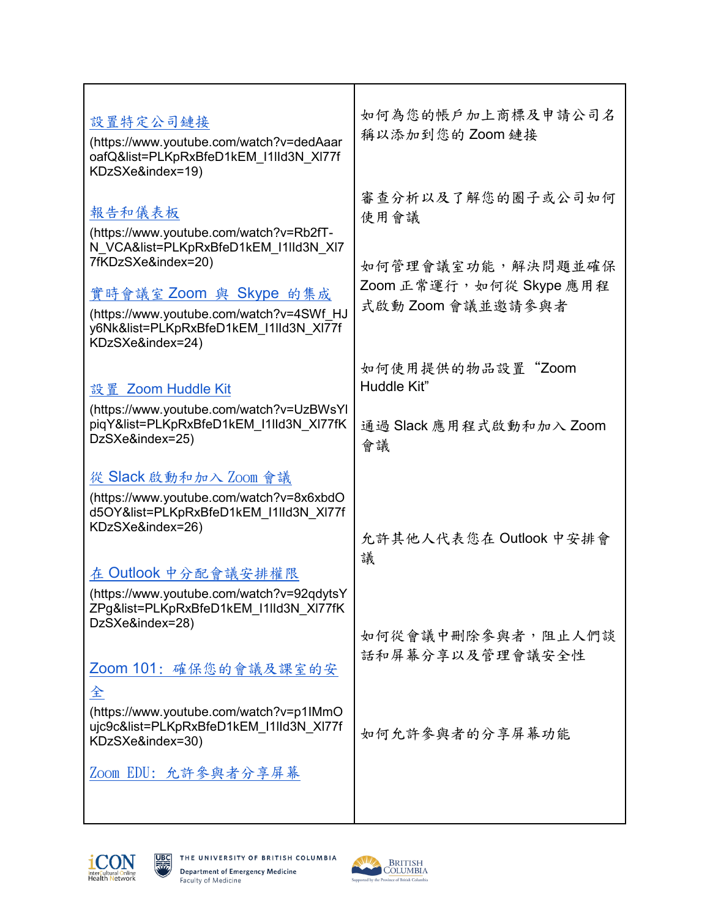| 設置特定公司鏈接<br>(https://www.youtube.com/watch?v=dedAaar<br>oafQ&list=PLKpRxBfeD1kEM I1IId3N XI77f<br>KDzSXe&index=19)                                                                                                                                   | 如何為您的帳戶加上商標及申請公司名<br>稱以添加到您的 Zoom 鏈接                                                            |
|------------------------------------------------------------------------------------------------------------------------------------------------------------------------------------------------------------------------------------------------------|-------------------------------------------------------------------------------------------------|
| 報告和儀表板<br>(https://www.youtube.com/watch?v=Rb2fT-<br>N VCA&list=PLKpRxBfeD1kEM I1IId3N XI7<br>7fKDzSXe&index=20)<br>實時會議室 Zoom 與 Skype 的集成<br>(https://www.youtube.com/watch?v=4SWf HJ<br>y6Nk&list=PLKpRxBfeD1kEM I1IId3N XI77f<br>KDzSXe&index=24) | 審查分析以及了解您的圈子或公司如何<br>使用會議<br>如何管理會議室功能,解決問題並確保<br>Zoom 正常運行, 如何從 Skype 應用程<br>式啟動 Zoom 會議並邀請參與者 |
| 設置 Zoom Huddle Kit<br>(https://www.youtube.com/watch?v=UzBWsYI<br>piqY&list=PLKpRxBfeD1kEM I1IId3N XI77fK<br>DzSXe&index=25)                                                                                                                         | 如何使用提供的物品設置"Zoom<br>Huddle Kit"<br>通過 Slack 應用程式啟動和加入 Zoom<br>會議                                |
| 從 Slack 啟動和加入 Zoom 會議<br>(https://www.youtube.com/watch?v=8x6xbdO<br>d5OY&list=PLKpRxBfeD1kEM I1IId3N XI77f<br>KDzSXe&index=26)<br>在 Outlook 中分配會議安排權限                                                                                               | 允許其他人代表您在 Outlook 中安排會<br>議                                                                     |
| (https://www.youtube.com/watch?v=92qdytsY<br>ZPg&list=PLKpRxBfeD1kEM I1IId3N XI77fK<br>DzSXe&index=28)<br>Zoom 101: 確保您的會議及課室的安<br>全                                                                                                                 | 如何從會議中刪除參與者,阻止人們談<br>話和屏幕分享以及管理會議安全性                                                            |
| (https://www.youtube.com/watch?v=p1IMmO<br>ujc9c&list=PLKpRxBfeD1kEM I1IId3N XI77f<br>KDzSXe&index=30)<br>Zoom EDU: 允許參與者分享屏幕                                                                                                                        | 如何允許參與者的分享屏幕功能                                                                                  |



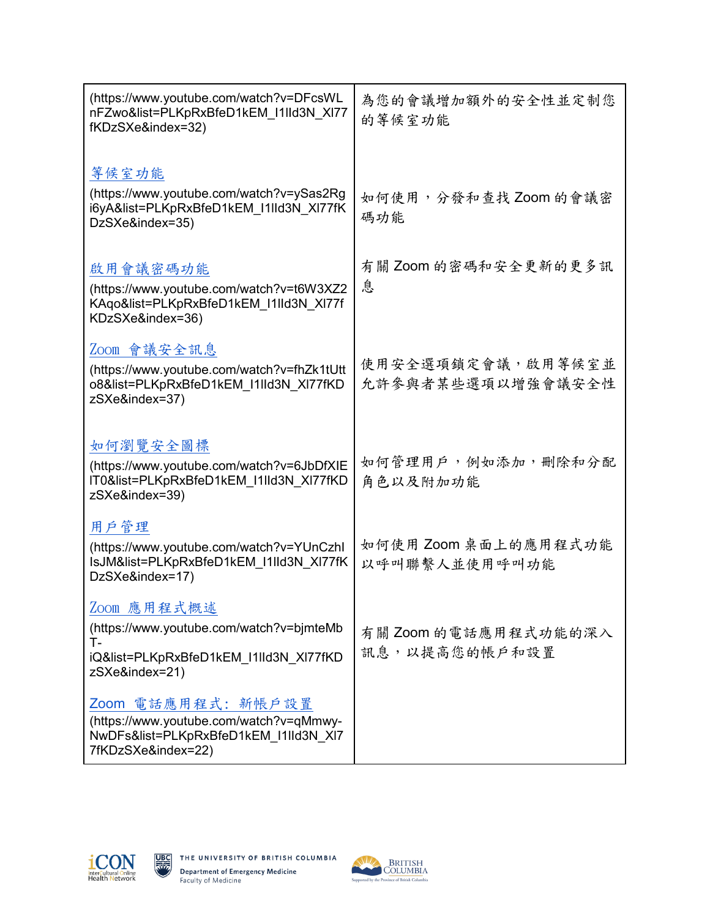| (https://www.youtube.com/watch?v=DFcsWL<br>nFZwo&list=PLKpRxBfeD1kEM I1IId3N XI77<br>fKDzSXe&index=32)                       | 為您的會議增加額外的安全性並定制您<br>的等候室功能            |
|------------------------------------------------------------------------------------------------------------------------------|----------------------------------------|
| 等候室功能<br>(https://www.youtube.com/watch?v=ySas2Rg<br>i6yA&list=PLKpRxBfeD1kEM_I1lId3N_XI77fK<br>DzSXe&index=35)              | 如何使用,分發和查找 Zoom 的會議密<br>碼功能            |
| 啟用會議密碼功能<br>(https://www.youtube.com/watch?v=t6W3XZ2<br>KAqo&list=PLKpRxBfeD1kEM I1IId3N XI77f<br>KDzSXe&index=36)           | 有關 Zoom 的密碼和安全更新的更多訊<br>息              |
| Zoom 會議安全訊息<br>(https://www.youtube.com/watch?v=fhZk1tUtt<br>o8&list=PLKpRxBfeD1kEM I1IId3N XI77fKD<br>zSXe&index=37)        | 使用安全選項鎖定會議,啟用等候室並<br>允許參與者某些選項以增強會議安全性 |
| 如何瀏覽安全圖標<br>(https://www.youtube.com/watch?v=6JbDfXIE<br>IT0&list=PLKpRxBfeD1kEM_I1IId3N_XI77fKD<br>zSXe&index=39)           | 如何管理用戶,例如添加,刪除和分配<br>角色以及附加功能          |
| 用戶管理<br>(https://www.youtube.com/watch?v=YUnCzhl<br>IsJM&list=PLKpRxBfeD1kEM I1IId3N XI77fK<br>DzSXe&index=17)               | 如何使用 Zoom 桌面上的應用程式功能<br>以呼叫聯繫人並使用呼叫功能  |
| Zoom 應用程式概述<br>(https://www.youtube.com/watch?v=bjmteMb<br>т.<br>iQ&list=PLKpRxBfeD1kEM I1IId3N XI77fKD<br>zSXe&index=21)    | 有關 Zoom 的電話應用程式功能的深入<br>訊息,以提高您的帳戶和設置  |
| Zoom 電話應用程式: 新帳戶設置<br>(https://www.youtube.com/watch?v=qMmwy-<br>NwDFs&list=PLKpRxBfeD1kEM I1IId3N XI7<br>7fKDzSXe&index=22) |                                        |



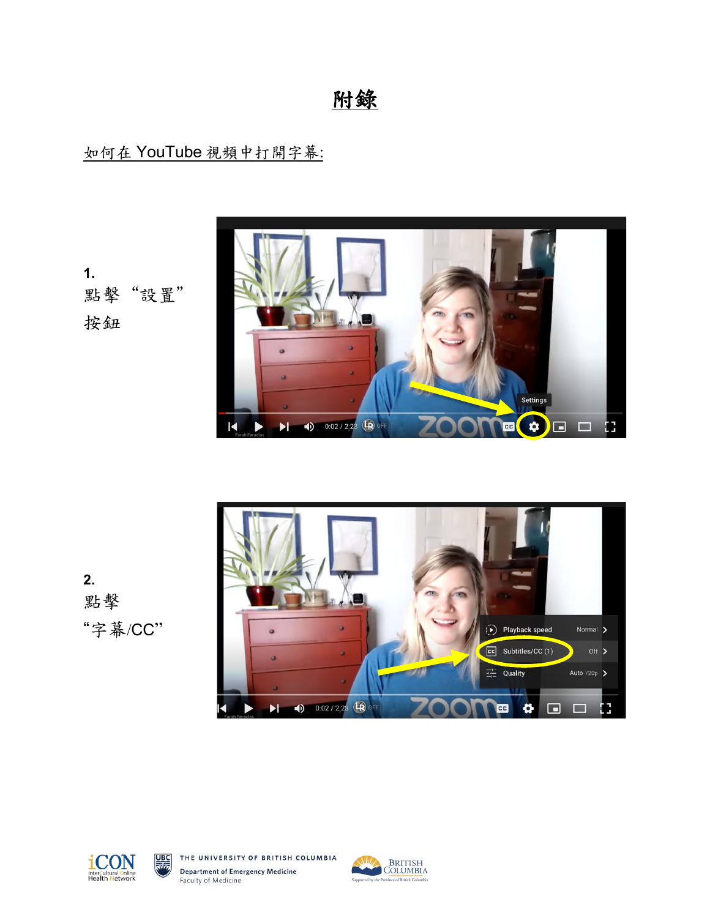附錄

## 如何在 YouTube 視頻中打開字幕:

**1.** 點擊"設置" 按鈕









THE UNIVERSITY OF BRITISH COLUMBIA **Department of Emergency Medicine** Faculty of Medicine